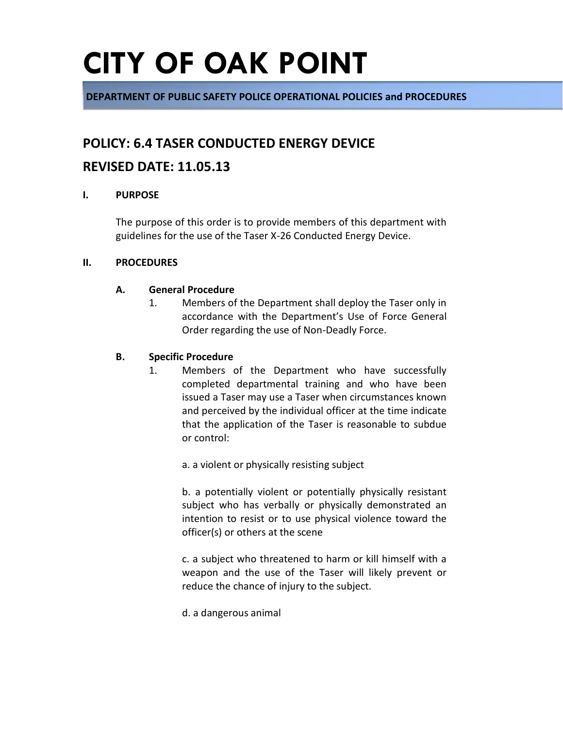**DEPARTMENT OF PUBLIC SAFETY POLICE OPERATIONAL POLICIES and PROCEDURES**

### **POLICY: 6.4 TASER CONDUCTED ENERGY DEVICE**

### **REVISED DATE: 11.05.13**

#### **I. PURPOSE**

The purpose of this order is to provide members of this department with guidelines for the use of the Taser X-26 Conducted Energy Device.

#### **II. PROCEDURES**

#### **A. General Procedure**

1. Members of the Department shall deploy the Taser only in accordance with the Department's Use of Force General Order regarding the use of Non-Deadly Force.

#### **B. Specific Procedure**

1. Members of the Department who have successfully completed departmental training and who have been issued a Taser may use a Taser when circumstances known and perceived by the individual officer at the time indicate that the application of the Taser is reasonable to subdue or control:

a. a violent or physically resisting subject

b. a potentially violent or potentially physically resistant subject who has verbally or physically demonstrated an intention to resist or to use physical violence toward the officer(s) or others at the scene

c. a subject who threatened to harm or kill himself with a weapon and the use of the Taser will likely prevent or reduce the chance of injury to the subject.

d. a dangerous animal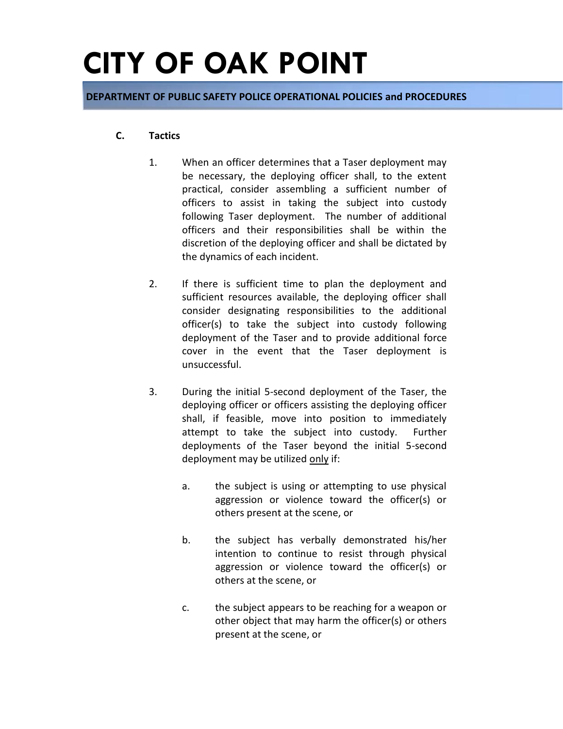**DEPARTMENT OF PUBLIC SAFETY POLICE OPERATIONAL POLICIES and PROCEDURES**

#### **C. Tactics**

- 1. When an officer determines that a Taser deployment may be necessary, the deploying officer shall, to the extent practical, consider assembling a sufficient number of officers to assist in taking the subject into custody following Taser deployment. The number of additional officers and their responsibilities shall be within the discretion of the deploying officer and shall be dictated by the dynamics of each incident.
- 2. If there is sufficient time to plan the deployment and sufficient resources available, the deploying officer shall consider designating responsibilities to the additional officer(s) to take the subject into custody following deployment of the Taser and to provide additional force cover in the event that the Taser deployment is unsuccessful.
- 3. During the initial 5-second deployment of the Taser, the deploying officer or officers assisting the deploying officer shall, if feasible, move into position to immediately attempt to take the subject into custody. Further deployments of the Taser beyond the initial 5-second deployment may be utilized only if:
	- a. the subject is using or attempting to use physical aggression or violence toward the officer(s) or others present at the scene, or
	- b. the subject has verbally demonstrated his/her intention to continue to resist through physical aggression or violence toward the officer(s) or others at the scene, or
	- c. the subject appears to be reaching for a weapon or other object that may harm the officer(s) or others present at the scene, or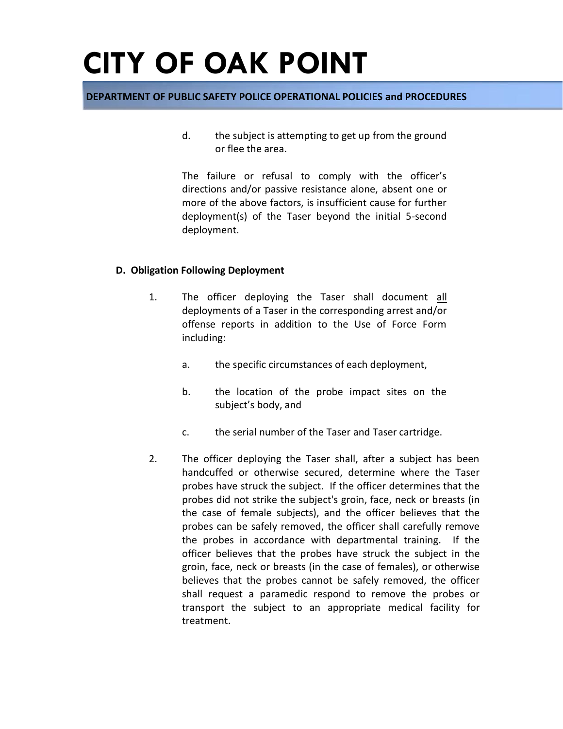#### **DEPARTMENT OF PUBLIC SAFETY POLICE OPERATIONAL POLICIES and PROCEDURES**

d. the subject is attempting to get up from the ground or flee the area.

The failure or refusal to comply with the officer's directions and/or passive resistance alone, absent one or more of the above factors, is insufficient cause for further deployment(s) of the Taser beyond the initial 5-second deployment.

#### **D. Obligation Following Deployment**

- 1. The officer deploying the Taser shall document all deployments of a Taser in the corresponding arrest and/or offense reports in addition to the Use of Force Form including:
	- a. the specific circumstances of each deployment,
	- b. the location of the probe impact sites on the subject's body, and
	- c. the serial number of the Taser and Taser cartridge.
- 2. The officer deploying the Taser shall, after a subject has been handcuffed or otherwise secured, determine where the Taser probes have struck the subject. If the officer determines that the probes did not strike the subject's groin, face, neck or breasts (in the case of female subjects), and the officer believes that the probes can be safely removed, the officer shall carefully remove the probes in accordance with departmental training. If the officer believes that the probes have struck the subject in the groin, face, neck or breasts (in the case of females), or otherwise believes that the probes cannot be safely removed, the officer shall request a paramedic respond to remove the probes or transport the subject to an appropriate medical facility for treatment.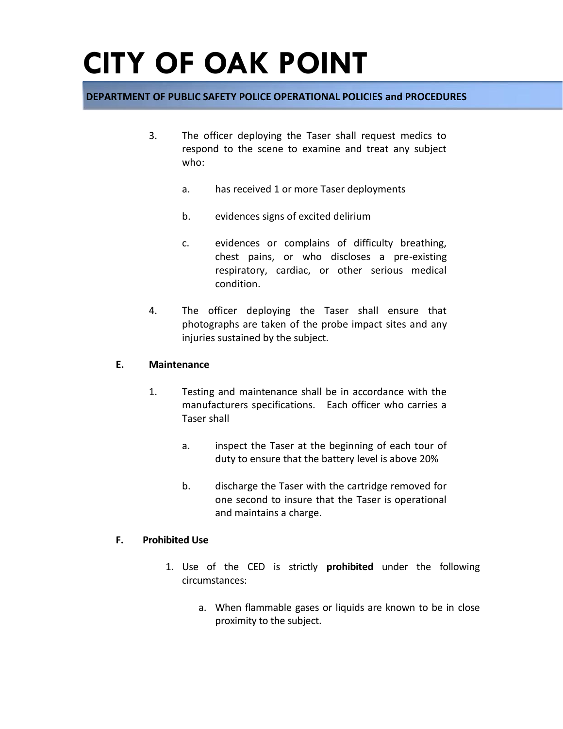#### **DEPARTMENT OF PUBLIC SAFETY POLICE OPERATIONAL POLICIES and PROCEDURES**

- 3. The officer deploying the Taser shall request medics to respond to the scene to examine and treat any subject who:
	- a. has received 1 or more Taser deployments
	- b. evidences signs of excited delirium
	- c. evidences or complains of difficulty breathing, chest pains, or who discloses a pre-existing respiratory, cardiac, or other serious medical condition.
- 4. The officer deploying the Taser shall ensure that photographs are taken of the probe impact sites and any injuries sustained by the subject.

#### **E. Maintenance**

- 1. Testing and maintenance shall be in accordance with the manufacturers specifications. Each officer who carries a Taser shall
	- a. inspect the Taser at the beginning of each tour of duty to ensure that the battery level is above 20%
	- b. discharge the Taser with the cartridge removed for one second to insure that the Taser is operational and maintains a charge.

#### **F. Prohibited Use**

- 1. Use of the CED is strictly **prohibited** under the following circumstances:
	- a. When flammable gases or liquids are known to be in close proximity to the subject.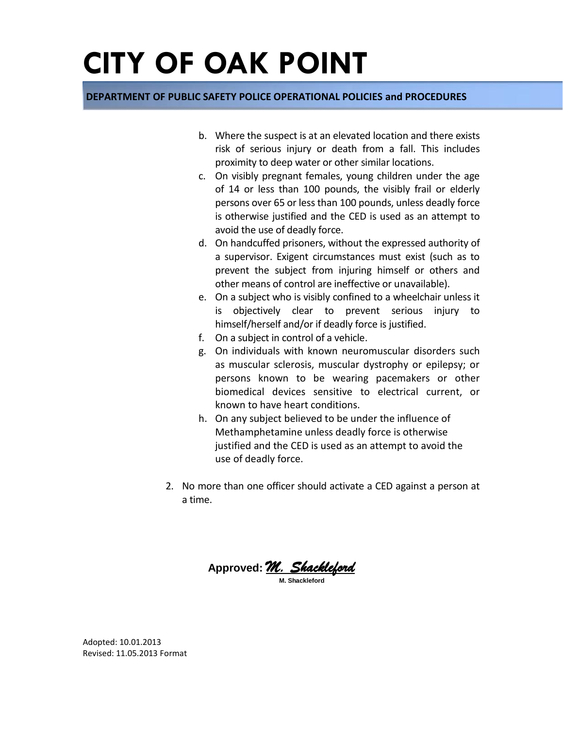#### **DEPARTMENT OF PUBLIC SAFETY POLICE OPERATIONAL POLICIES and PROCEDURES**

- b. Where the suspect is at an elevated location and there exists risk of serious injury or death from a fall. This includes proximity to deep water or other similar locations.
- c. On visibly pregnant females, young children under the age of 14 or less than 100 pounds, the visibly frail or elderly persons over 65 or less than 100 pounds, unless deadly force is otherwise justified and the CED is used as an attempt to avoid the use of deadly force.
- d. On handcuffed prisoners, without the expressed authority of a supervisor. Exigent circumstances must exist (such as to prevent the subject from injuring himself or others and other means of control are ineffective or unavailable).
- e. On a subject who is visibly confined to a wheelchair unless it is objectively clear to prevent serious injury to himself/herself and/or if deadly force is justified.
- f. On a subject in control of a vehicle.
- g. On individuals with known neuromuscular disorders such as muscular sclerosis, muscular dystrophy or epilepsy; or persons known to be wearing pacemakers or other biomedical devices sensitive to electrical current, or known to have heart conditions.
- h. On any subject believed to be under the influence of Methamphetamine unless deadly force is otherwise justified and the CED is used as an attempt to avoid the use of deadly force.
- 2. No more than one officer should activate a CED against a person at a time.

**Approved:** *M. Shackleford*  **M. Shackleford**

Adopted: 10.01.2013 Revised: 11.05.2013 Format